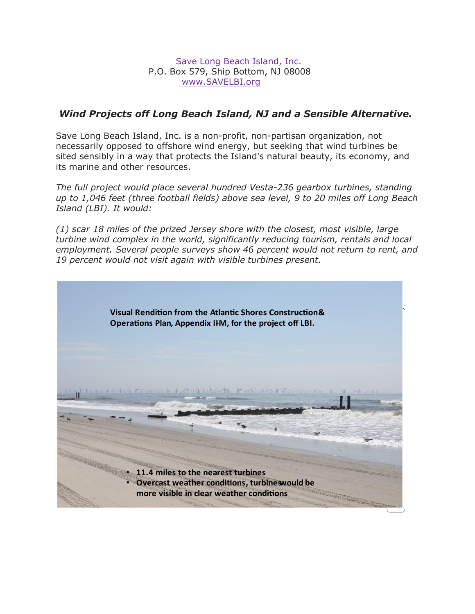Save Long Beach Island, Inc. P.O. Box 579, Ship Bottom, NJ 08008 [www.SAVELBI.org](http://www.savelbi.org/)

### *Wind Projects off Long Beach Island, NJ and a Sensible Alternative.*

Save Long Beach Island, Inc. is a non-profit, non-partisan organization, not necessarily opposed to offshore wind energy, but seeking that wind turbines be sited sensibly in a way that protects the Island's natural beauty, its economy, and its marine and other resources.

*The full project would place several hundred Vesta-236 gearbox turbines, standing up to 1,046 feet (three football fields) above sea level, 9 to 20 miles off Long Beach Island (LBI). It would:* 

*(1) scar 18 miles of the prized Jersey shore with the closest, most visible, large turbine wind complex in the world, significantly reducing tourism, rentals and local employment. Several people surveys show 46 percent would not return to rent, and 19 percent would not visit again with visible turbines present.*

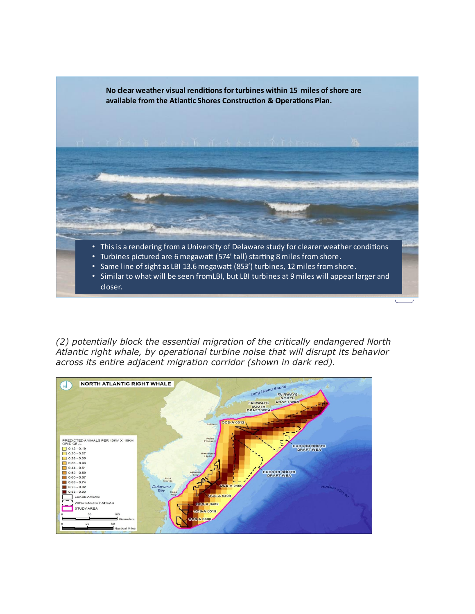

*(2) potentially block the essential migration of the critically endangered North Atlantic right whale, by operational turbine noise that will disrupt its behavior across its entire adjacent migration corridor (shown in dark red).*

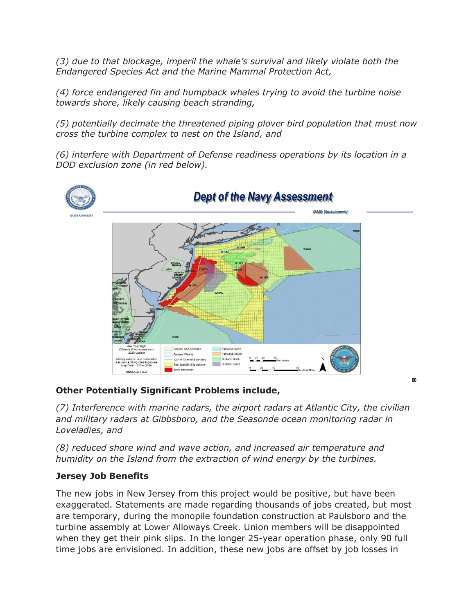*(3) due to that blockage, imperil the whale's survival and likely violate both the Endangered Species Act and the Marine Mammal Protection Act,* 

*(4) force endangered fin and humpback whales trying to avoid the turbine noise towards shore, likely causing beach stranding,* 

*(5) potentially decimate the threatened piping plover bird population that must now cross the turbine complex to nest on the Island, and* 

*(6) interfere with Department of Defense readiness operations by its location in a DOD exclusion zone (in red below).*



# **Other Potentially Significant Problems include,**

*(7) Interference with marine radars, the airport radars at Atlantic City, the civilian and military radars at Gibbsboro, and the Seasonde ocean monitoring radar in Loveladies, and*

 $60$ 

*(8) reduced shore wind and wave action, and increased air temperature and humidity on the Island from the extraction of wind energy by the turbines.*

## **Jersey Job Benefits**

The new jobs in New Jersey from this project would be positive, but have been exaggerated. Statements are made regarding thousands of jobs created, but most are temporary, during the monopile foundation construction at Paulsboro and the turbine assembly at Lower Alloways Creek. Union members will be disappointed when they get their pink slips. In the longer 25-year operation phase, only 90 full time jobs are envisioned. In addition, these new jobs are offset by job losses in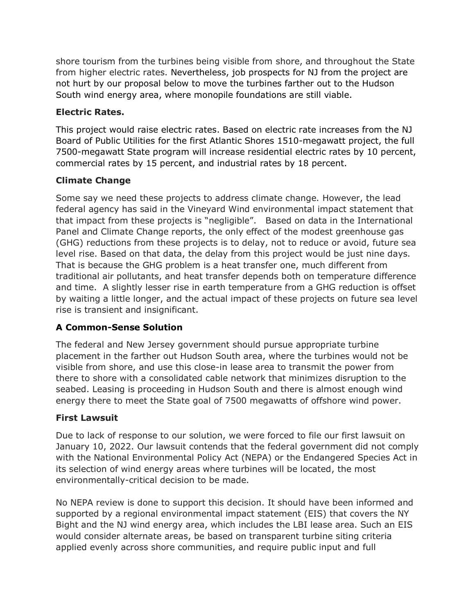shore tourism from the turbines being visible from shore, and throughout the State from higher electric rates. Nevertheless, job prospects for NJ from the project are not hurt by our proposal below to move the turbines farther out to the Hudson South wind energy area, where monopile foundations are still viable.

### **Electric Rates.**

This project would raise electric rates. Based on electric rate increases from the NJ Board of Public Utilities for the first Atlantic Shores 1510-megawatt project, the full 7500-megawatt State program will increase residential electric rates by 10 percent, commercial rates by 15 percent, and industrial rates by 18 percent.

## **Climate Change**

Some say we need these projects to address climate change. However, the lead federal agency has said in the Vineyard Wind environmental impact statement that that impact from these projects is "negligible". Based on data in the International Panel and Climate Change reports, the only effect of the modest greenhouse gas (GHG) reductions from these projects is to delay, not to reduce or avoid, future sea level rise. Based on that data, the delay from this project would be just nine days. That is because the GHG problem is a heat transfer one, much different from traditional air pollutants, and heat transfer depends both on temperature difference and time. A slightly lesser rise in earth temperature from a GHG reduction is offset by waiting a little longer, and the actual impact of these projects on future sea level rise is transient and insignificant.

## **A Common-Sense Solution**

The federal and New Jersey government should pursue appropriate turbine placement in the farther out Hudson South area, where the turbines would not be visible from shore, and use this close-in lease area to transmit the power from there to shore with a consolidated cable network that minimizes disruption to the seabed. Leasing is proceeding in Hudson South and there is almost enough wind energy there to meet the State goal of 7500 megawatts of offshore wind power.

## **First Lawsuit**

Due to lack of response to our solution, we were forced to file our first lawsuit on January 10, 2022. Our lawsuit contends that the federal government did not comply with the National Environmental Policy Act (NEPA) or the Endangered Species Act in its selection of wind energy areas where turbines will be located, the most environmentally-critical decision to be made.

No NEPA review is done to support this decision. It should have been informed and supported by a regional environmental impact statement (EIS) that covers the NY Bight and the NJ wind energy area, which includes the LBI lease area. Such an EIS would consider alternate areas, be based on transparent turbine siting criteria applied evenly across shore communities, and require public input and full